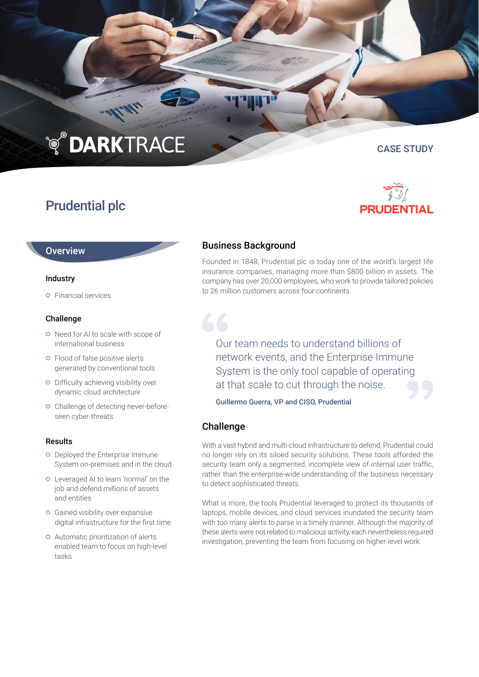# **TO DARKTRACE**

**Millian** 

## Prudential plc

#### CASE STUDY



#### **Overview**

#### Industry

**o** Financial services

#### Challenge

- o Need for AI to scale with scope of international business
- **o** Flood of false positive alerts generated by conventional tools
- **o** Difficulty achieving visibility over dynamic cloud architecture
- **o** Challenge of detecting never-beforeseen cyber-threats

#### Results

- **O** Deployed the Enterprise Immune System on-premises and in the cloud
- Leveraged AI to learn 'normal' on the job and defend millions of assets and entities
- **o** Gained visibility over expansive digital infrastructure for the first time
- **o** Automatic prioritization of alerts enabled team to focus on high-level tasks

## Business Background

Founded in 1848, Prudential plc is today one of the world's largest life insurance companies, managing more than \$800 billion in assets. The company has over 20,000 employees, who work to provide tailored policies to 26 million customers across four continents.

Our team needs to understand billions of network events, and the Enterprise Immune System is the only tool capable of operating at that scale to cut through the noise.

Guillermo Guerra, VP and CISO, Prudential

## **Challenge**

With a vast hybrid and multi-cloud infrastructure to defend, Prudential could no longer rely on its siloed security solutions. These tools afforded the security team only a segmented, incomplete view of internal user traffic, rather than the enterprise-wide understanding of the business necessary to detect sophisticated threats.

What is more, the tools Prudential leveraged to protect its thousands of laptops, mobile devices, and cloud services inundated the security team with too many alerts to parse in a timely manner. Although the majority of these alerts were not related to malicious activity, each nevertheless required investigation, preventing the team from focusing on higher-level work.